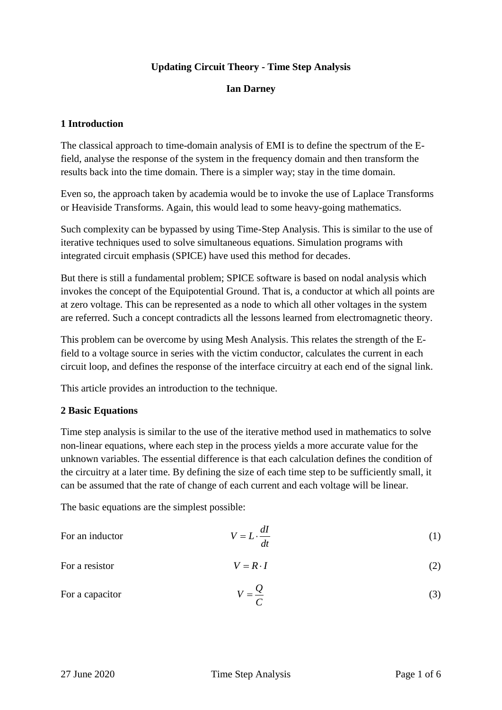# **Updating Circuit Theory - Time Step Analysis**

### **Ian Darney**

# **1 Introduction**

The classical approach to time-domain analysis of EMI is to define the spectrum of the Efield, analyse the response of the system in the frequency domain and then transform the results back into the time domain. There is a simpler way; stay in the time domain.

Even so, the approach taken by academia would be to invoke the use of Laplace Transforms or Heaviside Transforms. Again, this would lead to some heavy-going mathematics.

Such complexity can be bypassed by using Time-Step Analysis. This is similar to the use of iterative techniques used to solve simultaneous equations. Simulation programs with integrated circuit emphasis (SPICE) have used this method for decades.

But there is still a fundamental problem; SPICE software is based on nodal analysis which invokes the concept of the Equipotential Ground. That is, a conductor at which all points are at zero voltage. This can be represented as a node to which all other voltages in the system are referred. Such a concept contradicts all the lessons learned from electromagnetic theory.

This problem can be overcome by using Mesh Analysis. This relates the strength of the Efield to a voltage source in series with the victim conductor, calculates the current in each circuit loop, and defines the response of the interface circuitry at each end of the signal link.

This article provides an introduction to the technique.

# **2 Basic Equations**

Time step analysis is similar to the use of the iterative method used in mathematics to solve non-linear equations, where each step in the process yields a more accurate value for the unknown variables. The essential difference is that each calculation defines the condition of the circuitry at a later time. By defining the size of each time step to be sufficiently small, it can be assumed that the rate of change of each current and each voltage will be linear.

The basic equations are the simplest possible:

| For an inductor | $V = L \cdot \frac{dI}{dt}$ |  |
|-----------------|-----------------------------|--|
| For a resistor  | $V = R \cdot I$             |  |
| For a capacitor | $V = \frac{Q}{r}$<br>__     |  |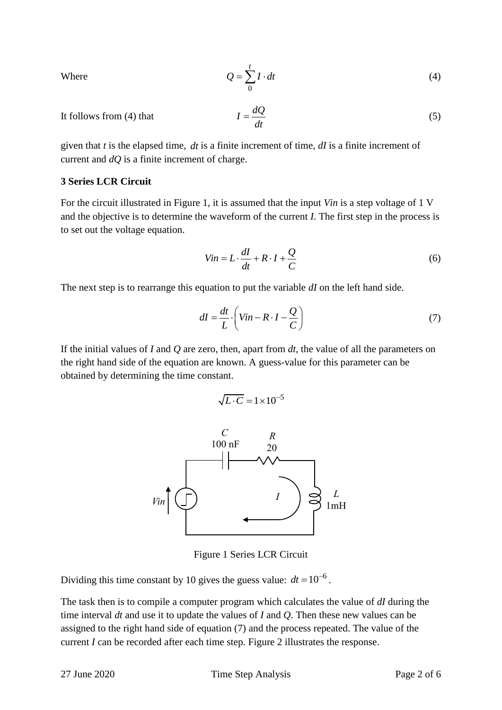Where

$$
Q = \sum_{0}^{t} I \cdot dt \tag{4}
$$

It follows from (4) that  $I = \frac{dQ}{dt}$ *dt*  $=$ (5)

given that *t* is the elapsed time, *dt* is a finite increment of time, *dI* is a finite increment of current and *dQ* is a finite increment of charge.

#### **3 Series LCR Circuit**

For the circuit illustrated in Figure 1, it is assumed that the input *Vin* is a step voltage of 1 V and the objective is to determine the waveform of the current *I*. The first step in the process is to set out the voltage equation.

$$
Vin = L \cdot \frac{dI}{dt} + R \cdot I + \frac{Q}{C}
$$
\n<sup>(6)</sup>

The next step is to rearrange this equation to put the variable *dI* on the left hand side.

$$
dI = \frac{dt}{L} \cdot \left( Vin - R \cdot I - \frac{Q}{C}\right)
$$
 (7)

If the initial values of *I* and *Q* are zero, then, apart from *dt*, the value of all the parameters on the right hand side of the equation are known. A guess-value for this parameter can be obtained by determining the time constant.

$$
\sqrt{L \cdot C} = 1 \times 10^{-5}
$$



Figure 1 Series LCR Circuit

Dividing this time constant by 10 gives the guess value:  $dt = 10^{-6}$ .

The task then is to compile a computer program which calculates the value of *dI* during the time interval *dt* and use it to update the values of *I* and *Q*. Then these new values can be assigned to the right hand side of equation (7) and the process repeated. The value of the current *I* can be recorded after each time step. Figure 2 illustrates the response.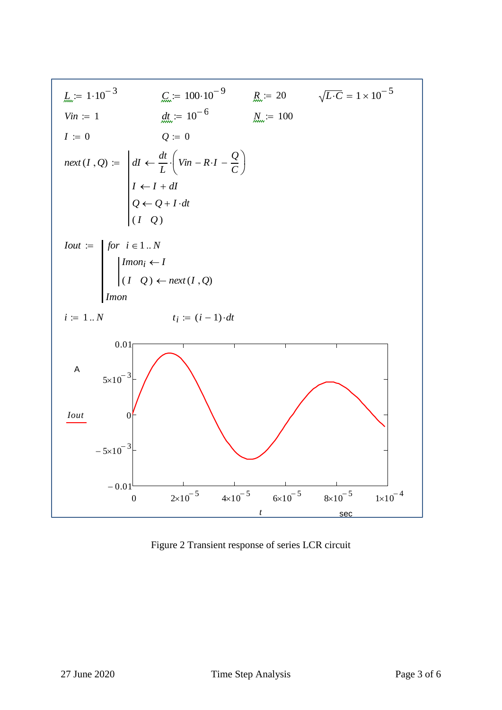

Figure 2 Transient response of series LCR circuit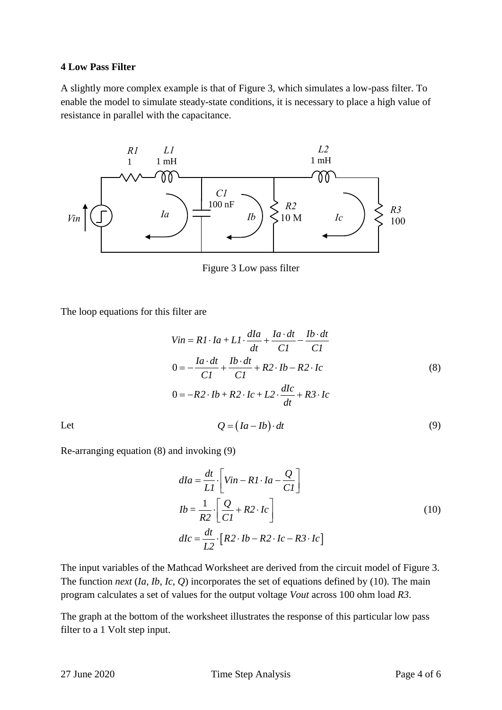#### **4 Low Pass Filter**

A slightly more complex example is that of Figure 3, which simulates a low-pass filter. To enable the model to simulate steady-state conditions, it is necessary to place a high value of resistance in parallel with the capacitance.



Figure 3 Low pass filter

The loop equations for this filter are

$$
Vin = RI \cdot Ia + LI \cdot \frac{dIa}{dt} + \frac{Ia \cdot dt}{CI} - \frac{Ib \cdot dt}{CI}
$$
  
\n
$$
0 = -\frac{Ia \cdot dt}{CI} + \frac{Ib \cdot dt}{CI} + R2 \cdot Ib - R2 \cdot Ic
$$
  
\n
$$
0 = -R2 \cdot Ib + R2 \cdot Ic + L2 \cdot \frac{dIc}{dt} + R3 \cdot Ic
$$
  
\n
$$
Q = (Ia - Ib) \cdot dt
$$
  
\n(9)

Let

Re-arranging equation (8) and invoking (9)

$$
dIa = \frac{dt}{LI} \cdot \left[ Vin - RI \cdot Ia - \frac{Q}{CI} \right]
$$
  
\n
$$
Ib = \frac{1}{R2} \cdot \left[ \frac{Q}{CI} + R2 \cdot Ic \right]
$$
  
\n
$$
dIc = \frac{dt}{L2} \cdot \left[ R2 \cdot Ib - R2 \cdot Ic - R3 \cdot Ic \right]
$$
\n(10)

The input variables of the Mathcad Worksheet are derived from the circuit model of Figure 3. The function *next* (*Ia, Ib, Ic, Q*) incorporates the set of equations defined by (10). The main program calculates a set of values for the output voltage *Vout* across 100 ohm load *R3*.

The graph at the bottom of the worksheet illustrates the response of this particular low pass filter to a 1 Volt step input.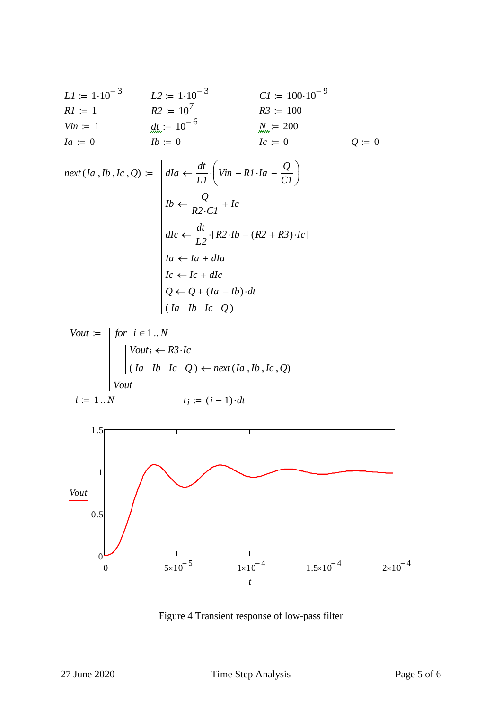*L1* := 
$$
1 \cdot 10^{-3}
$$
   
\n*L2* :=  $1 \cdot 10^{-3}$    
\n*R1* := 1   
\n*R2* :=  $10^{7}$    
\n*R3* := 100   
\n*Yin* := 1   
\n*At* :=  $10^{-6}$    
\n*At* :=  $0$    
\n*It* = 0   
\n*It* = 0   
\n*Let* = 0   
\n*At* = 0   
\n*It* = 0   
\n*It* = 0   
\n*It* = 0

*next* (*Ia Ib Ic Q*) *dIa dt L 1 Vin R1Ia Q C1 Ib Q R2C1 Ic dIc dt L 2* [*R2Ib* (*R2 R3*)*Ic*] *Ia Ia dIa Ic Ic dIc Q Q* (*Ia Ib*)*dt* ( *Ia Ib Ic Q* ) 

$$
Vout := \n\begin{cases} \nfor \quad i \in 1..N \\ \n\begin{cases} \nVout_i \leftarrow R3 \cdot Ic \\ \n(Ia \quad Ib \quad Ic \quad Q) \leftarrow next(Ia \,, Ib \,, Ic \,, Q) \n\end{cases} \\
\begin{cases} \nVout \quad \text{if } i = (i-1) \cdot dt \n\end{cases} \n\end{cases}
$$



Figure 4 Transient response of low-pass filter